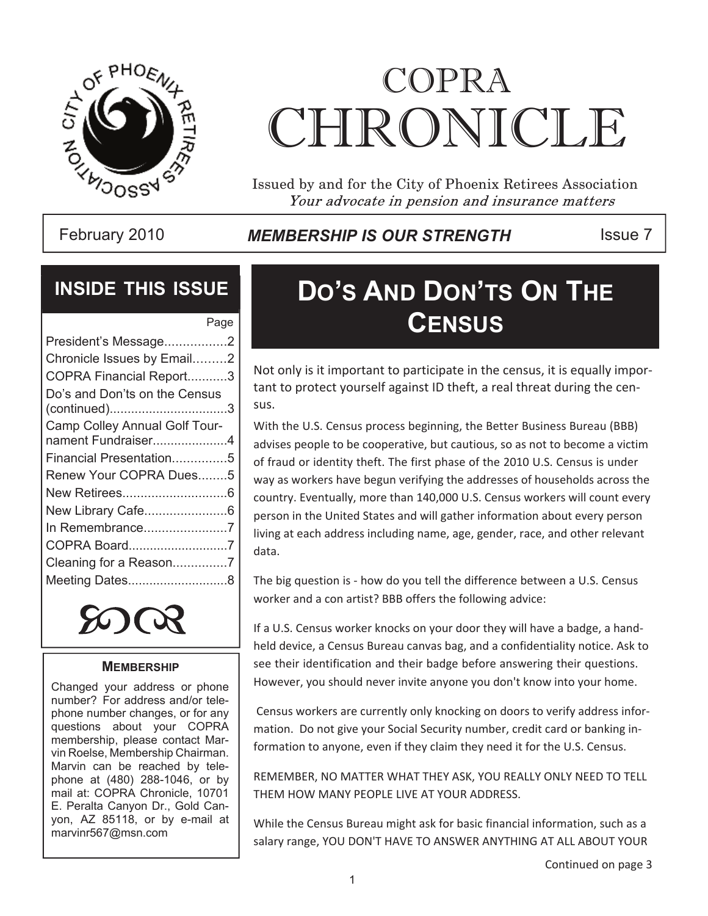

# COPRA CHRONICI.E

Issued by and for the City of Phoenix Retirees Association Your advocate in pension and insurance matters

February 2010 **MEMBERSHIP IS OUR STRENGTH** ISSue 7

### **INSIDE THIS ISSUE**

| Page                          |
|-------------------------------|
| President's Message2          |
| Chronicle Issues by Email2    |
| COPRA Financial Report3       |
| Do's and Don'ts on the Census |
|                               |
| Camp Colley Annual Golf Tour- |
| nament Fundraiser4            |
| Financial Presentation5       |
| Renew Your COPRA Dues5        |
|                               |
| New Library Cafe6             |
| In Remembrance7               |
| COPRA Board7                  |
|                               |
| Meeting Dates8                |



#### **MEMBERSHIP**

Changed your address or phone number? For address and/or telephone number changes, or for any questions about your COPRA membership, please contact Marvin Roelse, Membership Chairman. Marvin can be reached by telephone at (480) 288-1046, or by mail at: COPRA Chronicle, 10701 E. Peralta Canyon Dr., Gold Canyon, AZ 85118, or by e-mail at marvinr567@msn.com

# **DO'S AND DON'TS ON THE** Page **CENSUS**

Not only is it important to participate in the census, it is equally important to protect yourself against ID theft, a real threat during the census.

With the U.S. Census process beginning, the Better Business Bureau (BBB) advises people to be cooperative, but cautious, so as not to become a victim of fraud or identity theft. The first phase of the 2010 U.S. Census is under way as workers have begun verifying the addresses of households across the country. Eventually, more than 140,000 U.S. Census workers will count every person in the United States and will gather information about every person living at each address including name, age, gender, race, and other relevant data.

The big question is - how do you tell the difference between a U.S. Census worker and a con artist? BBB offers the following advice:

If a U.S. Census worker knocks on your door they will have a badge, a handheld device, a Census Bureau canvas bag, and a confidentiality notice. Ask to see their identification and their badge before answering their questions. However, you should never invite anyone you don't know into your home.

 Census workers are currently only knocking on doors to verify address information. Do not give your Social Security number, credit card or banking information to anyone, even if they claim they need it for the U.S. Census.

REMEMBER, NO MATTER WHAT THEY ASK, YOU REALLY ONLY NEED TO TELL THEM HOW MANY PEOPLE LIVE AT YOUR ADDRESS.

While the Census Bureau might ask for basic financial information, such as a salary range, YOU DON'T HAVE TO ANSWER ANYTHING AT ALL ABOUT YOUR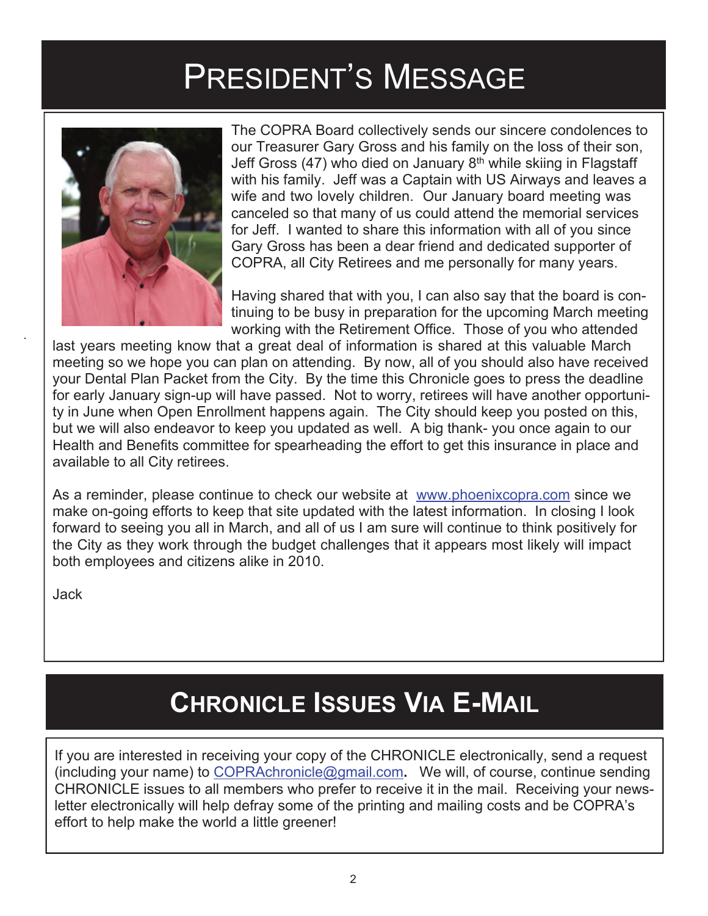# PRESIDENT'S MESSAGE



The COPRA Board collectively sends our sincere condolences to our Treasurer Gary Gross and his family on the loss of their son, Jeff Gross (47) who died on January  $8<sup>th</sup>$  while skiing in Flagstaff with his family. Jeff was a Captain with US Airways and leaves a wife and two lovely children. Our January board meeting was canceled so that many of us could attend the memorial services for Jeff. I wanted to share this information with all of you since Gary Gross has been a dear friend and dedicated supporter of COPRA, all City Retirees and me personally for many years.

Having shared that with you, I can also say that the board is continuing to be busy in preparation for the upcoming March meeting working with the Retirement Office. Those of you who attended

last years meeting know that a great deal of information is shared at this valuable March meeting so we hope you can plan on attending. By now, all of you should also have received your Dental Plan Packet from the City. By the time this Chronicle goes to press the deadline for early January sign-up will have passed. Not to worry, retirees will have another opportunity in June when Open Enrollment happens again. The City should keep you posted on this, but we will also endeavor to keep you updated as well. A big thank- you once again to our Health and Benefits committee for spearheading the effort to get this insurance in place and available to all City retirees.

As a reminder, please continue to check our website at www.phoenixcopra.com since we make on-going efforts to keep that site updated with the latest information. In closing I look forward to seeing you all in March, and all of us I am sure will continue to think positively for the City as they work through the budget challenges that it appears most likely will impact both employees and citizens alike in 2010.

Jack

# **CHRONICLE ISSUES VIA E-MAIL**

If you are interested in receiving your copy of the CHRONICLE electronically, send a request (including your name) to COPRAchronicle@gmail.com**.** We will, of course, continue sending CHRONICLE issues to all members who prefer to receive it in the mail. Receiving your newsletter electronically will help defray some of the printing and mailing costs and be COPRA's effort to help make the world a little greener!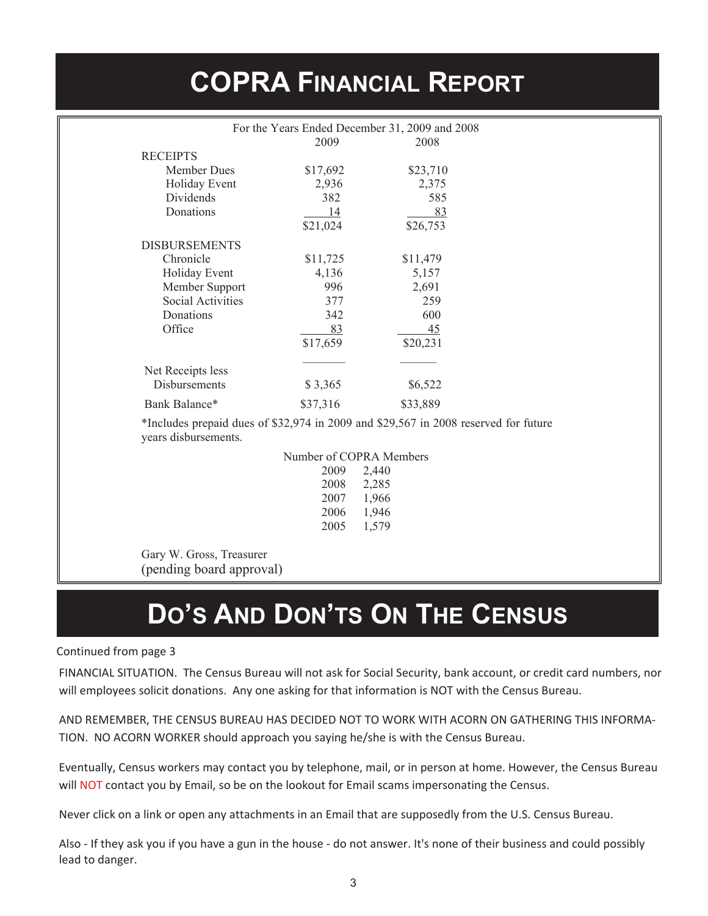# **COPRA FINANCIAL REPORT**

| For the Years Ended December 31, 2009 and 2008                                                              |                         |          |
|-------------------------------------------------------------------------------------------------------------|-------------------------|----------|
|                                                                                                             | 2009                    | 2008     |
| <b>RECEIPTS</b>                                                                                             |                         |          |
| <b>Member Dues</b>                                                                                          | \$17,692                | \$23,710 |
| Holiday Event                                                                                               | 2,936                   | 2,375    |
| Dividends                                                                                                   | 382                     | 585      |
| Donations                                                                                                   | 14                      | 83       |
|                                                                                                             | \$21,024                | \$26,753 |
| <b>DISBURSEMENTS</b>                                                                                        |                         |          |
| Chronicle                                                                                                   | \$11,725                | \$11,479 |
| Holiday Event                                                                                               | 4,136                   | 5,157    |
| Member Support                                                                                              | 996                     | 2,691    |
| <b>Social Activities</b>                                                                                    | 377                     | 259      |
| Donations                                                                                                   | 342                     | 600      |
| Office                                                                                                      | 83                      | 45       |
|                                                                                                             | \$17,659                | \$20,231 |
|                                                                                                             |                         |          |
| Net Receipts less                                                                                           |                         |          |
| <b>Disbursements</b>                                                                                        | \$3,365                 | \$6,522  |
| Bank Balance*                                                                                               | \$37,316                | \$33,889 |
| *Includes prepaid dues of \$32,974 in 2009 and \$29,567 in 2008 reserved for future<br>years disbursements. |                         |          |
|                                                                                                             | Number of COPRA Members |          |
|                                                                                                             | 2009<br>2,440           |          |
|                                                                                                             | 2008<br>2,285           |          |
|                                                                                                             | 2007<br>1,966           |          |
|                                                                                                             | 2006<br>1,946           |          |
|                                                                                                             | 2005<br>1,579           |          |
|                                                                                                             |                         |          |
|                                                                                                             |                         |          |

Gary W. Gross, Treasurer (pending board approval)

# **DO'S AND DON'TS ON THE CENSUS**

#### Continued from page 3

FINANCIAL SITUATION. The Census Bureau will not ask for Social Security, bank account, or credit card numbers, nor will employees solicit donations. Any one asking for that information is NOT with the Census Bureau.

AND REMEMBER, THE CENSUS BUREAU HAS DECIDED NOT TO WORK WITH ACORN ON GATHERING THIS INFORMA-TION. NO ACORN WORKER should approach you saying he/she is with the Census Bureau.

Eventually, Census workers may contact you by telephone, mail, or in person at home. However, the Census Bureau will NOT contact you by Email, so be on the lookout for Email scams impersonating the Census.

Never click on a link or open any attachments in an Email that are supposedly from the U.S. Census Bureau.

Also - If they ask you if you have a gun in the house - do not answer. It's none of their business and could possibly lead to danger.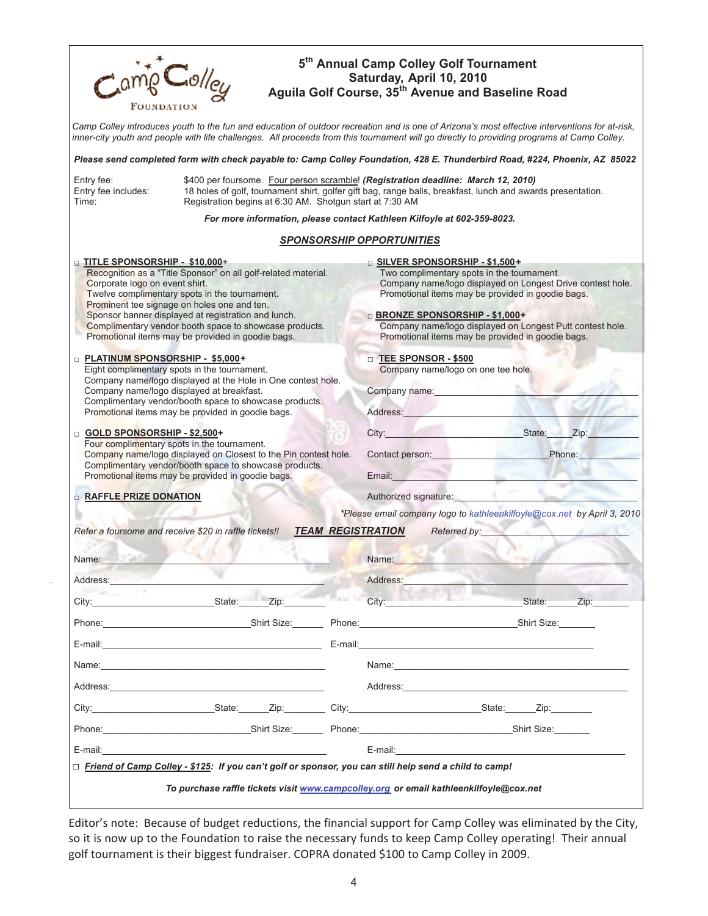| $C_0$ lley<br>FOUNDATION                                                                                                                                                                                                                                     | 5 <sup>th</sup> Annual Camp Colley Golf Tournament<br>Saturday, April 10, 2010<br>Aguila Golf Course, 35 <sup>th</sup> Avenue and Baseline Road                                                                                                                                             |
|--------------------------------------------------------------------------------------------------------------------------------------------------------------------------------------------------------------------------------------------------------------|---------------------------------------------------------------------------------------------------------------------------------------------------------------------------------------------------------------------------------------------------------------------------------------------|
|                                                                                                                                                                                                                                                              | Camp Colley introduces youth to the fun and education of outdoor recreation and is one of Arizona's most effective interventions for at-risk,<br>inner-city youth and people with life challenges. All proceeds from this tournament will go directly to providing programs at Camp Colley. |
|                                                                                                                                                                                                                                                              | Please send completed form with check payable to: Camp Colley Foundation, 428 E. Thunderbird Road, #224, Phoenix, AZ 85022                                                                                                                                                                  |
| Entry fee:<br>Entry fee includes:<br>Registration begins at 6:30 AM. Shotgun start at 7:30 AM<br>Time:                                                                                                                                                       | \$400 per foursome. Four person scramble! (Registration deadline: March 12, 2010)<br>18 holes of golf, tournament shirt, golfer gift bag, range balls, breakfast, lunch and awards presentation.                                                                                            |
|                                                                                                                                                                                                                                                              | For more information, please contact Kathleen Kilfoyle at 602-359-8023.                                                                                                                                                                                                                     |
|                                                                                                                                                                                                                                                              | <b>SPONSORSHIP OPPORTUNITIES</b>                                                                                                                                                                                                                                                            |
| D TITLE SPONSORSHIP - \$10,000+                                                                                                                                                                                                                              | <b>DISILVER SPONSORSHIP - \$1,500+</b>                                                                                                                                                                                                                                                      |
| Recognition as a "Title Sponsor" on all golf-related material.<br>Corporate logo on event shirt.<br>Twelve complimentary spots in the tournament.<br>Prominent tee signage on holes one and ten.                                                             | Two complimentary spots in the tournament<br>Company name/logo displayed on Longest Drive contest hole.<br>Promotional items may be provided in goodie bags.                                                                                                                                |
| Sponsor banner displayed at registration and lunch.<br>Complimentary vendor booth space to showcase products.<br>Promotional items may be provided in goodie bags.                                                                                           | <b>BRONZE SPONSORSHIP - \$1,000+</b><br>Company name/logo displayed on Longest Putt contest hole.<br>Promotional items may be provided in goodie bags.                                                                                                                                      |
| □ PLATINUM SPONSORSHIP - \$5,000+<br>Eight complimentary spots in the tournament.<br>Company name/logo displayed at the Hole in One contest hole.<br>Company name/logo displayed at breakfast.                                                               | <b>D</b> TEE SPONSOR - \$500<br>Company name/logo on one tee hole.<br>Company name:                                                                                                                                                                                                         |
| Complimentary vendor/booth space to showcase products.<br>Promotional items may be provided in goodie bags.                                                                                                                                                  | Address:                                                                                                                                                                                                                                                                                    |
| GOLD SPONSORSHIP - \$2,500+<br>Four complimentary spots in the tournament.<br>Company name/logo displayed on Closest to the Pin contest hole.<br>Complimentary vendor/booth space to showcase products.<br>Promotional items may be provided in goodie bags. | City: State: Zip:<br>Contact person:<br>Phone:<br>Email:<br><b>Contract Contract Contract</b>                                                                                                                                                                                               |
| <b>RAFFLE PRIZE DONATION</b>                                                                                                                                                                                                                                 | Authorized signature:                                                                                                                                                                                                                                                                       |
|                                                                                                                                                                                                                                                              | *Please email company logo to kathleenkilfoyle@cox.net by April 3, 2010                                                                                                                                                                                                                     |
| Refer a foursome and receive \$20 in raffle tickets!!                                                                                                                                                                                                        | <b>TEAM REGISTRATION</b><br>Referred by:                                                                                                                                                                                                                                                    |
| Name:                                                                                                                                                                                                                                                        | Name:                                                                                                                                                                                                                                                                                       |
| Address:                                                                                                                                                                                                                                                     | Address:                                                                                                                                                                                                                                                                                    |
| Zip:<br>State:<br>City:                                                                                                                                                                                                                                      | City:<br>State: Zip:                                                                                                                                                                                                                                                                        |
| Phone: Shirt Size: Phone: Phone: Phone: Phone: Phone: Phone: Phone: Phone: Phone: Phone: Phone: Phone: Phone: Phone: Phone: Phone: Phone: Phone: Phone: Phone: Phone: Phone: Phone: Phone: Phone: Phone: Phone: Phone: Phone:                                | Shirt Size:                                                                                                                                                                                                                                                                                 |
| E-mail:                                                                                                                                                                                                                                                      | E-mail: E-mail: E-mail: E-mail: E-mail: E-mail: E-mail: E-mail: E-mail: E-mail: E-mail: E-mail: E-mail: E-mail: E-mail: E-mail: E-mail: E-mail: E-mail: E-mail: E-mail: E-mail: E-mail: E-mail: E-mail: E-mail: E-mail: E-mail                                                              |
|                                                                                                                                                                                                                                                              | Name: Name:                                                                                                                                                                                                                                                                                 |
| Address: Andreas Address: Address: Address: Address: Address: Address: Address: Address: Address: Address: Address: Address: Address: Address: Address: Address: Address: Address: Address: Address: Address: Address: Address                               | Address: and the state of the state of the state of the state of the state of the state of the state of the state of the state of the state of the state of the state of the state of the state of the state of the state of t                                                              |
|                                                                                                                                                                                                                                                              |                                                                                                                                                                                                                                                                                             |
|                                                                                                                                                                                                                                                              | Phone: Shirt Size: Shirt Size: Phone: Shirt Size: Shirt Size: Shirt Size: Shirt Size:                                                                                                                                                                                                       |
| E-mail:                                                                                                                                                                                                                                                      | E-mail: E-mail: E-mail: E-mail: E-mail: E-mail: E-mail: E-mail: E-mail: E-mail: E-mail: E-mail: E-mail: E-mail: E-mail: E-mail: E-mail: E-mail: E-mail: E-mail: E-mail: E-mail: E-mail: E-mail: E-mail: E-mail: E-mail: E-mail                                                              |
| □ Friend of Camp Colley - \$125: If you can't golf or sponsor, you can still help send a child to camp!                                                                                                                                                      |                                                                                                                                                                                                                                                                                             |
|                                                                                                                                                                                                                                                              | To purchase raffle tickets visit www.campcolley.org or email kathleenkilfoyle@cox.net                                                                                                                                                                                                       |

 $\hat{\boldsymbol{\gamma}}$ 

Editor's note: Because of budget reductions, the financial support for Camp Colley was eliminated by the City, so it is now up to the Foundation to raise the necessary funds to keep Camp Colley operating! Their annual golf tournament is their biggest fundraiser. COPRA donated \$100 to Camp Colley in 2009.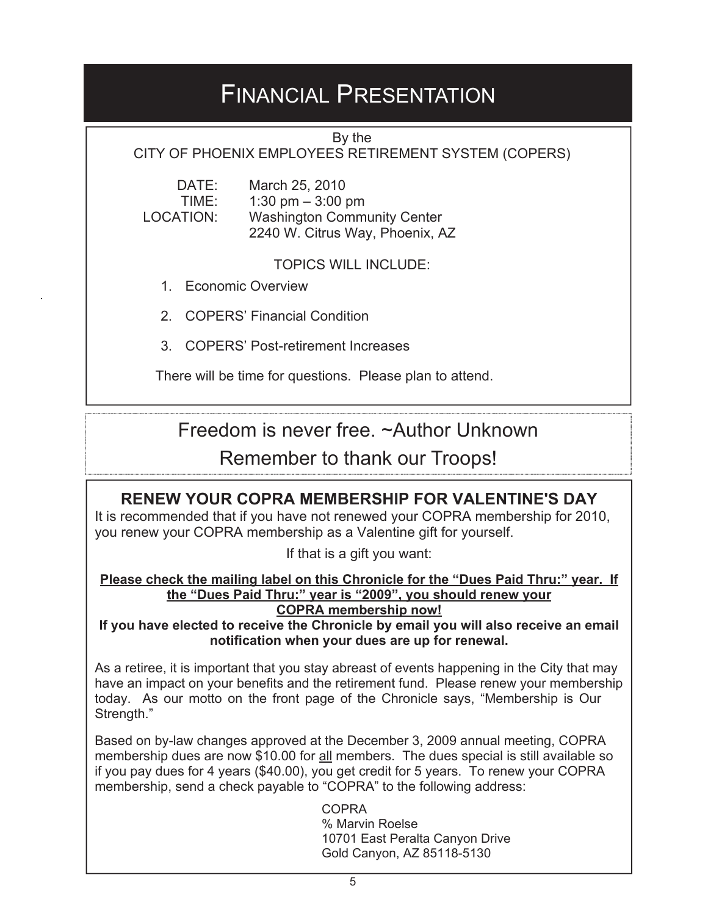### FINANCIAL PRESENTATION

By the

CITY OF PHOENIX EMPLOYEES RETIREMENT SYSTEM (COPERS)

 DATE: March 25, 2010 TIME: 1:30 pm – 3:00 pm<br>LOCATION: Washington Comm Washington Community Center 2240 W. Citrus Way, Phoenix, AZ

TOPICS WILL INCLUDE:

1. Economic Overview

2. COPERS' Financial Condition

3. COPERS' Post-retirement Increases

There will be time for questions. Please plan to attend.

Freedom is never free. ~Author Unknown

Remember to thank our Troops!

### **RENEW YOUR COPRA MEMBERSHIP FOR VALENTINE'S DAY**

It is recommended that if you have not renewed your COPRA membership for 2010, you renew your COPRA membership as a Valentine gift for yourself.

If that is a gift you want:

#### **Please check the mailing label on this Chronicle for the "Dues Paid Thru:" year. If the "Dues Paid Thru:" year is "2009", you should renew your**

**COPRA membership now!**

**If you have elected to receive the Chronicle by email you will also receive an email notification when your dues are up for renewal.**

As a retiree, it is important that you stay abreast of events happening in the City that may have an impact on your benefits and the retirement fund. Please renew your membership today. As our motto on the front page of the Chronicle says, "Membership is Our Strength."

Based on by-law changes approved at the December 3, 2009 annual meeting, COPRA membership dues are now \$10.00 for all members. The dues special is still available so if you pay dues for 4 years (\$40.00), you get credit for 5 years. To renew your COPRA membership, send a check payable to "COPRA" to the following address:

> COPRA % Marvin Roelse 10701 East Peralta Canyon Drive Gold Canyon, AZ 85118-5130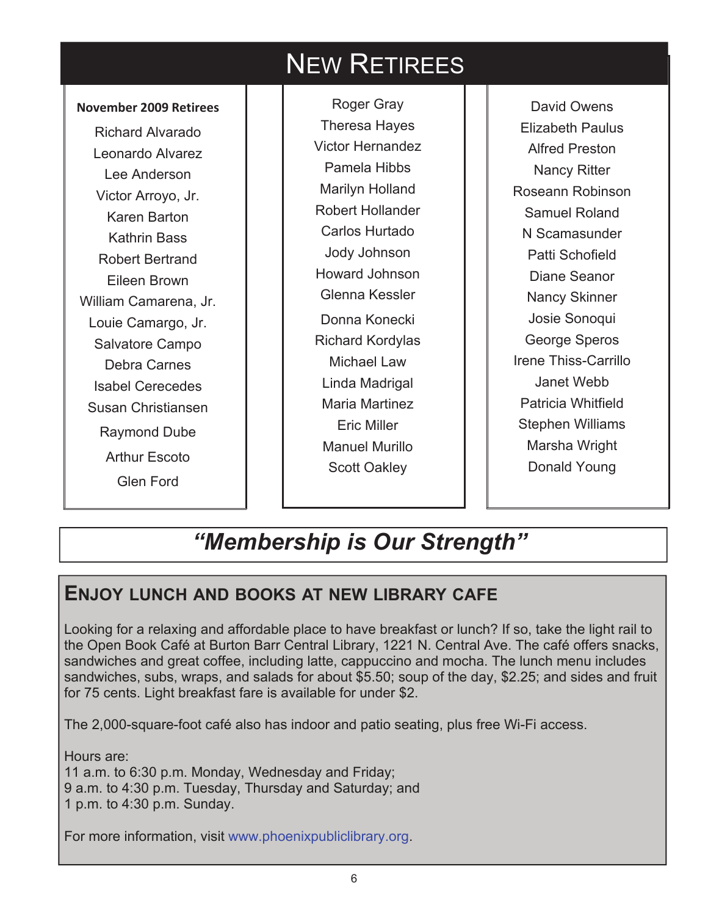### NEW RETIREES

#### **November 2009 Retirees**

Richard Alvarado Leonardo Alvarez Lee Anderson Victor Arroyo, Jr. Karen Barton Kathrin Bass Robert Bertrand Eileen Brown William Camarena, Jr. Louie Camargo, Jr. Salvatore Campo Debra Carnes Isabel Cerecedes Susan Christiansen Raymond Dube Arthur Escoto Glen Ford

Roger Gray Theresa Hayes Victor Hernandez Pamela Hibbs Marilyn Holland Robert Hollander Carlos Hurtado Jody Johnson Howard Johnson Glenna Kessler Donna Konecki Richard Kordylas Michael Law Linda Madrigal Maria Martinez Eric Miller Manuel Murillo Scott Oakley

David Owens Elizabeth Paulus Alfred Preston Nancy Ritter Roseann Robinson Samuel Roland N Scamasunder Patti Schofield Diane Seanor Nancy Skinner Josie Sonoqui George Speros Irene Thiss-Carrillo Janet Webb Patricia Whitfield Stephen Williams Marsha Wright Donald Young

### *"Membership is Our Strength"*

### **ENJOY LUNCH AND BOOKS AT NEW LIBRARY CAFE**

Looking for a relaxing and affordable place to have breakfast or lunch? If so, take the light rail to the Open Book Café at Burton Barr Central Library, 1221 N. Central Ave. The café offers snacks, sandwiches and great coffee, including latte, cappuccino and mocha. The lunch menu includes sandwiches, subs, wraps, and salads for about \$5.50; soup of the day, \$2.25; and sides and fruit for 75 cents. Light breakfast fare is available for under \$2.

The 2,000-square-foot café also has indoor and patio seating, plus free Wi-Fi access.

Hours are: 11 a.m. to 6:30 p.m. Monday, Wednesday and Friday; 9 a.m. to 4:30 p.m. Tuesday, Thursday and Saturday; and 1 p.m. to 4:30 p.m. Sunday.

For more information, visit www.phoenixpubliclibrary.org.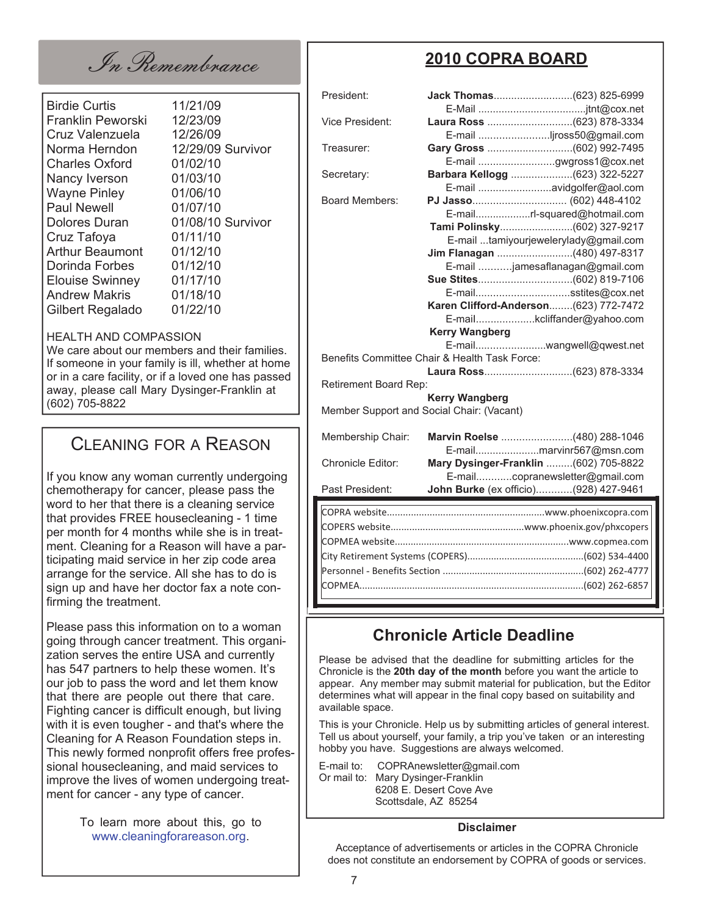In Remembrance

| <b>Birdie Curtis</b><br>Franklin Peworski<br>Cruz Valenzuela<br>Norma Herndon<br><b>Charles Oxford</b> | 11/21/09<br>12/23/09<br>12/26/09<br>12/29/09 Survivor<br>01/02/10 |
|--------------------------------------------------------------------------------------------------------|-------------------------------------------------------------------|
| Nancy Iverson                                                                                          | 01/03/10                                                          |
| <b>Wayne Pinley</b>                                                                                    | 01/06/10                                                          |
| <b>Paul Newell</b>                                                                                     | 01/07/10                                                          |
| <b>Dolores Duran</b>                                                                                   | 01/08/10 Survivor                                                 |
| Cruz Tafoya                                                                                            | 01/11/10                                                          |
| <b>Arthur Beaumont</b>                                                                                 | 01/12/10                                                          |
| Dorinda Forbes                                                                                         | 01/12/10                                                          |
| <b>Elouise Swinney</b>                                                                                 | 01/17/10                                                          |
| <b>Andrew Makris</b>                                                                                   | 01/18/10                                                          |
| Gilbert Regalado                                                                                       | 01/22/10                                                          |
|                                                                                                        |                                                                   |

#### HEALTH AND COMPASSION

We care about our members and their families. If someone in your family is ill, whether at home or in a care facility, or if a loved one has passed away, please call Mary Dysinger-Franklin at (602) 705-8822

#### CLEANING FOR A REASON

If you know any woman currently undergoing chemotherapy for cancer, please pass the word to her that there is a cleaning service that provides FREE housecleaning - 1 time per month for 4 months while she is in treatment. Cleaning for a Reason will have a participating maid service in her zip code area arrange for the service. All she has to do is sign up and have her doctor fax a note confirming the treatment.

Please pass this information on to a woman going through cancer treatment. This organization serves the entire USA and currently has 547 partners to help these women. It's our job to pass the word and let them know that there are people out there that care. Fighting cancer is difficult enough, but living with it is even tougher - and that's where the Cleaning for A Reason Foundation steps in. This newly formed nonprofit offers free professional housecleaning, and maid services to improve the lives of women undergoing treatment for cancer - any type of cancer.

> To learn more about this, go to www.cleaningforareason.org.

### **2010 COPRA BOARD**

| President:                                |                                                           |
|-------------------------------------------|-----------------------------------------------------------|
|                                           |                                                           |
| Vice President:                           |                                                           |
| Treasurer:                                | E-mail jross50@gmail.com                                  |
|                                           |                                                           |
| Secretary:                                | E-mail gwgross1@cox.net<br>Barbara Kellogg (623) 322-5227 |
|                                           | E-mail avidgolfer@aol.com                                 |
| <b>Board Members:</b>                     |                                                           |
|                                           | E-mailrl-squared@hotmail.com                              |
|                                           |                                                           |
|                                           | E-mail tamiyourjewelerylady@gmail.com                     |
|                                           | Jim Flanagan (480) 497-8317                               |
|                                           | E-mail jamesaflanagan@gmail.com                           |
|                                           |                                                           |
|                                           | E-mailsstites@cox.net                                     |
|                                           | Karen Clifford-Anderson(623) 772-7472                     |
|                                           | E-mailkcliffander@yahoo.com                               |
|                                           | <b>Kerry Wangberg</b>                                     |
|                                           | E-mailwangwell@qwest.net                                  |
|                                           | Benefits Committee Chair & Health Task Force:             |
|                                           |                                                           |
| Retirement Board Rep:                     |                                                           |
|                                           | <b>Kerry Wangberg</b>                                     |
| Member Support and Social Chair: (Vacant) |                                                           |
|                                           |                                                           |
| Membership Chair:                         | Marvin Roelse (480) 288-1046                              |
|                                           | E-mailmarvinr567@msn.com                                  |
| Chronicle Editor:                         | Mary Dysinger-Franklin (602) 705-8822                     |
|                                           | E-mailcopranewsletter@gmail.com                           |
| Past President:                           | John Burke (ex officio)(928) 427-9461                     |
|                                           |                                                           |
|                                           |                                                           |
|                                           |                                                           |
|                                           |                                                           |
|                                           |                                                           |

### **Chronicle Article Deadline**

Please be advised that the deadline for submitting articles for the Chronicle is the **20th day of the month** before you want the article to appear. Any member may submit material for publication, but the Editor determines what will appear in the final copy based on suitability and available space.

Personnel - Benefits Section .....................................................(602) 262-4777 COPMEA.....................................................................................(602) 262-6857

This is your Chronicle. Help us by submitting articles of general interest. Tell us about yourself, your family, a trip you've taken or an interesting hobby you have. Suggestions are always welcomed.

E-mail to: COPRAnewsletter@gmail.com Or mail to: Mary Dysinger-Franklin 6208 E. Desert Cove Ave Scottsdale, AZ 85254

#### **Disclaimer**

Acceptance of advertisements or articles in the COPRA Chronicle does not constitute an endorsement by COPRA of goods or services.